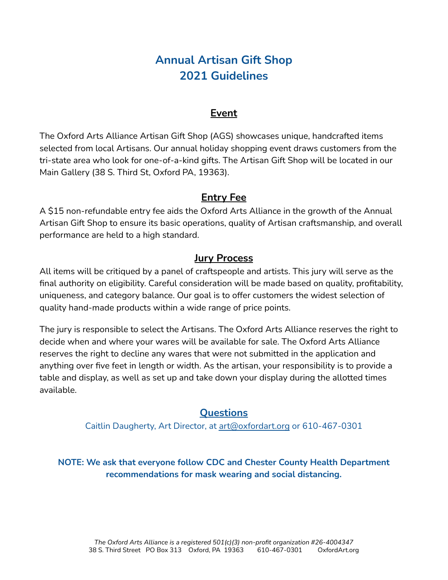# **Annual Artisan Gift Shop 2021 Guidelines**

#### **Event**

The Oxford Arts Alliance Artisan Gift Shop (AGS) showcases unique, handcrafted items selected from local Artisans. Our annual holiday shopping event draws customers from the tri-state area who look for one-of-a-kind gifts. The Artisan Gift Shop will be located in our Main Gallery (38 S. Third St, Oxford PA, 19363).

#### **Entry Fee**

A \$15 non-refundable entry fee aids the Oxford Arts Alliance in the growth of the Annual Artisan Gift Shop to ensure its basic operations, quality of Artisan craftsmanship, and overall performance are held to a high standard.

#### **Jury Process**

All items will be critiqued by a panel of craftspeople and artists. This jury will serve as the final authority on eligibility. Careful consideration will be made based on quality, profitability, uniqueness, and category balance. Our goal is to offer customers the widest selection of quality hand-made products within a wide range of price points.

The jury is responsible to select the Artisans. The Oxford Arts Alliance reserves the right to decide when and where your wares will be available for sale. The Oxford Arts Alliance reserves the right to decline any wares that were not submitted in the application and anything over five feet in length or width. As the artisan, your responsibility is to provide a table and display, as well as set up and take down your display during the allotted times available.

### **Questions**

Caitlin Daugherty, Art Director, at [art@oxfordart.org](mailto:art@oxfordart.org) or 610-467-0301

**NOTE: We ask that everyone follow CDC and Chester County Health Department recommendations for mask wearing and social distancing.**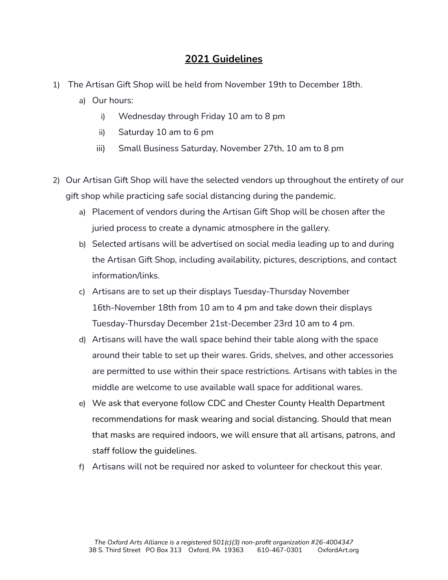#### **2021 Guidelines**

- 1) The Artisan Gift Shop will be held from November 19th to December 18th.
	- a) Our hours:
		- i) Wednesday through Friday 10 am to 8 pm
		- ii) Saturday 10 am to 6 pm
		- iii) Small Business Saturday, November 27th, 10 am to 8 pm
- 2) Our Artisan Gift Shop will have the selected vendors up throughout the entirety of our gift shop while practicing safe social distancing during the pandemic.
	- a) Placement of vendors during the Artisan Gift Shop will be chosen after the juried process to create a dynamic atmosphere in the gallery.
	- b) Selected artisans will be advertised on social media leading up to and during the Artisan Gift Shop, including availability, pictures, descriptions, and contact information/links.
	- c) Artisans are to set up their displays Tuesday-Thursday November 16th-November 18th from 10 am to 4 pm and take down their displays Tuesday-Thursday December 21st-December 23rd 10 am to 4 pm.
	- d) Artisans will have the wall space behind their table along with the space around their table to set up their wares. Grids, shelves, and other accessories are permitted to use within their space restrictions. Artisans with tables in the middle are welcome to use available wall space for additional wares.
	- e) We ask that everyone follow CDC and Chester County Health Department recommendations for mask wearing and social distancing. Should that mean that masks are required indoors, we will ensure that all artisans, patrons, and staff follow the guidelines.
	- f) Artisans will not be required nor asked to volunteer for checkout this year.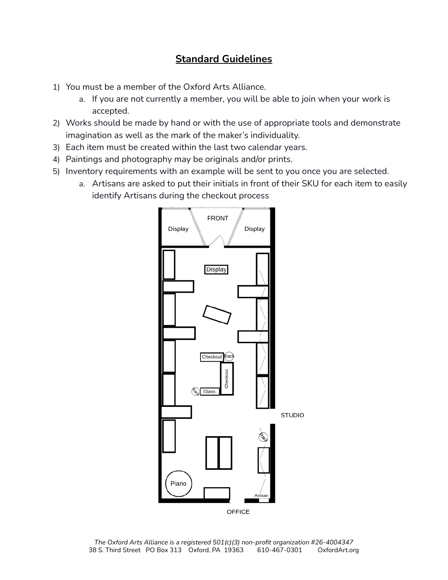## **Standard Guidelines**

- 1) You must be a member of the Oxford Arts Alliance.
	- a. If you are not currently a member, you will be able to join when your work is accepted.
- 2) Works should be made by hand or with the use of appropriate tools and demonstrate imagination as well as the mark of the maker's individuality.
- 3) Each item must be created within the last two calendar years.
- 4) Paintings and photography may be originals and/or prints.
- 5) Inventory requirements with an example will be sent to you once you are selected.
	- a. Artisans are asked to put their initials in front of their SKU for each item to easily identify Artisans during the checkout process